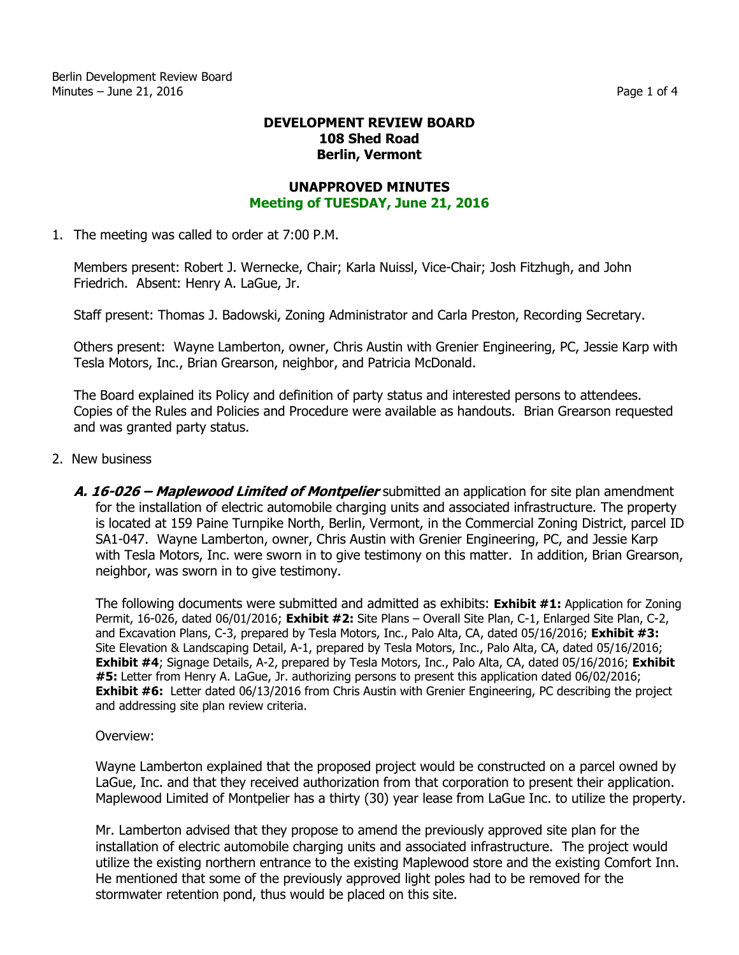Berlin Development Review Board Minutes – June 21, 2016 Page 1 of 4

## **DEVELOPMENT REVIEW BOARD 108 Shed Road Berlin, Vermont**

## **UNAPPROVED MINUTES Meeting of TUESDAY, June 21, 2016**

1. The meeting was called to order at 7:00 P.M.

Members present: Robert J. Wernecke, Chair; Karla Nuissl, Vice-Chair; Josh Fitzhugh, and John Friedrich. Absent: Henry A. LaGue, Jr.

Staff present: Thomas J. Badowski, Zoning Administrator and Carla Preston, Recording Secretary.

Others present: Wayne Lamberton, owner, Chris Austin with Grenier Engineering, PC, Jessie Karp with Tesla Motors, Inc., Brian Grearson, neighbor, and Patricia McDonald.

The Board explained its Policy and definition of party status and interested persons to attendees. Copies of the Rules and Policies and Procedure were available as handouts. Brian Grearson requested and was granted party status.

- 2. New business
	- **A. 16-026 – Maplewood Limited of Montpelier** submitted an application for site plan amendment for the installation of electric automobile charging units and associated infrastructure. The property is located at 159 Paine Turnpike North, Berlin, Vermont, in the Commercial Zoning District, parcel ID SA1-047. Wayne Lamberton, owner, Chris Austin with Grenier Engineering, PC, and Jessie Karp with Tesla Motors, Inc. were sworn in to give testimony on this matter. In addition, Brian Grearson, neighbor, was sworn in to give testimony.

The following documents were submitted and admitted as exhibits: **Exhibit #1:** Application for Zoning Permit, 16-026, dated 06/01/2016; **Exhibit #2:** Site Plans – Overall Site Plan, C-1, Enlarged Site Plan, C-2, and Excavation Plans, C-3, prepared by Tesla Motors, Inc., Palo Alta, CA, dated 05/16/2016; **Exhibit #3:**  Site Elevation & Landscaping Detail, A-1, prepared by Tesla Motors, Inc., Palo Alta, CA, dated 05/16/2016; **Exhibit #4**; Signage Details, A-2, prepared by Tesla Motors, Inc., Palo Alta, CA, dated 05/16/2016; **Exhibit #5:** Letter from Henry A. LaGue, Jr. authorizing persons to present this application dated 06/02/2016; **Exhibit #6:** Letter dated 06/13/2016 from Chris Austin with Grenier Engineering, PC describing the project and addressing site plan review criteria.

## Overview:

Wayne Lamberton explained that the proposed project would be constructed on a parcel owned by LaGue, Inc. and that they received authorization from that corporation to present their application. Maplewood Limited of Montpelier has a thirty (30) year lease from LaGue Inc. to utilize the property.

Mr. Lamberton advised that they propose to amend the previously approved site plan for the installation of electric automobile charging units and associated infrastructure. The project would utilize the existing northern entrance to the existing Maplewood store and the existing Comfort Inn. He mentioned that some of the previously approved light poles had to be removed for the stormwater retention pond, thus would be placed on this site.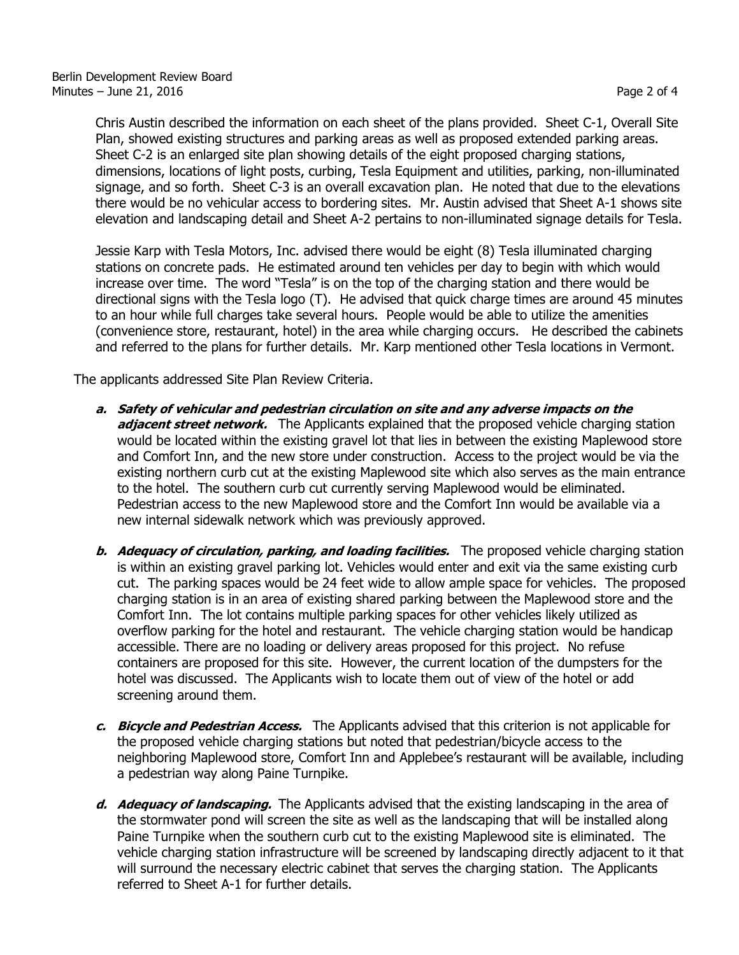Chris Austin described the information on each sheet of the plans provided. Sheet C-1, Overall Site Plan, showed existing structures and parking areas as well as proposed extended parking areas. Sheet C-2 is an enlarged site plan showing details of the eight proposed charging stations, dimensions, locations of light posts, curbing, Tesla Equipment and utilities, parking, non-illuminated signage, and so forth. Sheet C-3 is an overall excavation plan. He noted that due to the elevations there would be no vehicular access to bordering sites. Mr. Austin advised that Sheet A-1 shows site elevation and landscaping detail and Sheet A-2 pertains to non-illuminated signage details for Tesla.

Jessie Karp with Tesla Motors, Inc. advised there would be eight (8) Tesla illuminated charging stations on concrete pads. He estimated around ten vehicles per day to begin with which would increase over time. The word "Tesla" is on the top of the charging station and there would be directional signs with the Tesla logo (T). He advised that quick charge times are around 45 minutes to an hour while full charges take several hours. People would be able to utilize the amenities (convenience store, restaurant, hotel) in the area while charging occurs. He described the cabinets and referred to the plans for further details. Mr. Karp mentioned other Tesla locations in Vermont.

The applicants addressed Site Plan Review Criteria.

- **a. Safety of vehicular and pedestrian circulation on site and any adverse impacts on the**  adjacent street network. The Applicants explained that the proposed vehicle charging station would be located within the existing gravel lot that lies in between the existing Maplewood store and Comfort Inn, and the new store under construction. Access to the project would be via the existing northern curb cut at the existing Maplewood site which also serves as the main entrance to the hotel. The southern curb cut currently serving Maplewood would be eliminated. Pedestrian access to the new Maplewood store and the Comfort Inn would be available via a new internal sidewalk network which was previously approved.
- **b.** Adequacy of circulation, parking, and loading facilities. The proposed vehicle charging station is within an existing gravel parking lot. Vehicles would enter and exit via the same existing curb cut. The parking spaces would be 24 feet wide to allow ample space for vehicles. The proposed charging station is in an area of existing shared parking between the Maplewood store and the Comfort Inn. The lot contains multiple parking spaces for other vehicles likely utilized as overflow parking for the hotel and restaurant. The vehicle charging station would be handicap accessible. There are no loading or delivery areas proposed for this project. No refuse containers are proposed for this site. However, the current location of the dumpsters for the hotel was discussed. The Applicants wish to locate them out of view of the hotel or add screening around them.
- **c. Bicycle and Pedestrian Access.** The Applicants advised that this criterion is not applicable for the proposed vehicle charging stations but noted that pedestrian/bicycle access to the neighboring Maplewood store, Comfort Inn and Applebee's restaurant will be available, including a pedestrian way along Paine Turnpike.
- **d. Adequacy of landscaping.** The Applicants advised that the existing landscaping in the area of the stormwater pond will screen the site as well as the landscaping that will be installed along Paine Turnpike when the southern curb cut to the existing Maplewood site is eliminated. The vehicle charging station infrastructure will be screened by landscaping directly adjacent to it that will surround the necessary electric cabinet that serves the charging station. The Applicants referred to Sheet A-1 for further details.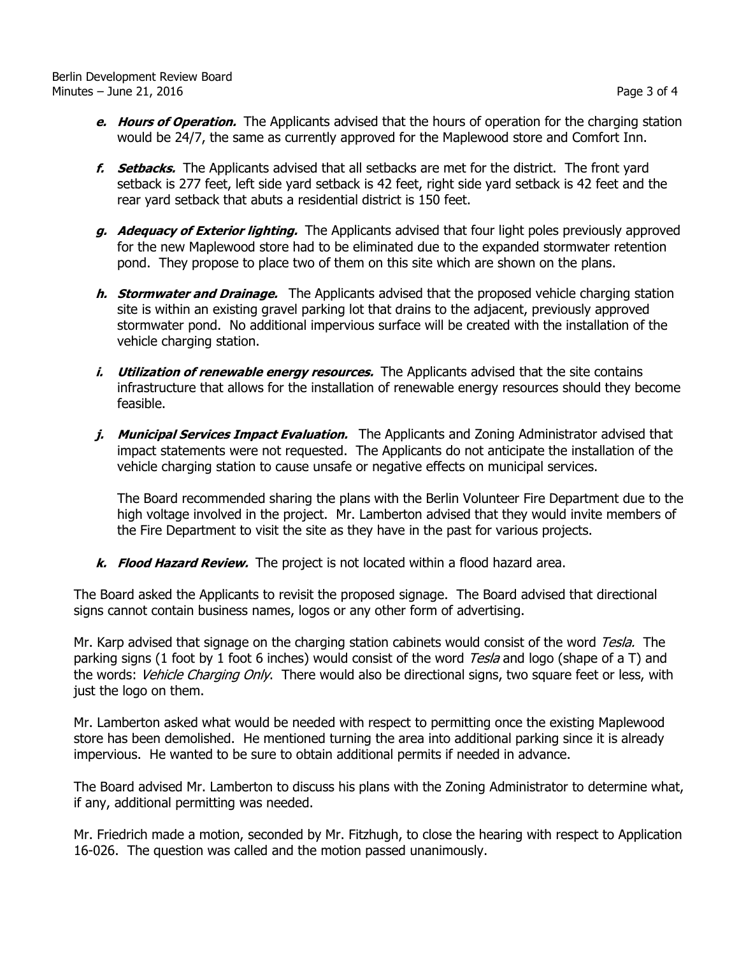- **e. Hours of Operation.** The Applicants advised that the hours of operation for the charging station would be 24/7, the same as currently approved for the Maplewood store and Comfort Inn.
- **f. Setbacks.** The Applicants advised that all setbacks are met for the district. The front yard setback is 277 feet, left side yard setback is 42 feet, right side yard setback is 42 feet and the rear yard setback that abuts a residential district is 150 feet.
- **g. Adequacy of Exterior lighting.** The Applicants advised that four light poles previously approved for the new Maplewood store had to be eliminated due to the expanded stormwater retention pond. They propose to place two of them on this site which are shown on the plans.
- **h. Stormwater and Drainage.** The Applicants advised that the proposed vehicle charging station site is within an existing gravel parking lot that drains to the adjacent, previously approved stormwater pond. No additional impervious surface will be created with the installation of the vehicle charging station.
- i. **Utilization of renewable energy resources.** The Applicants advised that the site contains infrastructure that allows for the installation of renewable energy resources should they become feasible.
- **j. Municipal Services Impact Evaluation.** The Applicants and Zoning Administrator advised that impact statements were not requested. The Applicants do not anticipate the installation of the vehicle charging station to cause unsafe or negative effects on municipal services.

The Board recommended sharing the plans with the Berlin Volunteer Fire Department due to the high voltage involved in the project. Mr. Lamberton advised that they would invite members of the Fire Department to visit the site as they have in the past for various projects.

**k. Flood Hazard Review.** The project is not located within a flood hazard area.

The Board asked the Applicants to revisit the proposed signage. The Board advised that directional signs cannot contain business names, logos or any other form of advertising.

Mr. Karp advised that signage on the charging station cabinets would consist of the word Tesla. The parking signs (1 foot by 1 foot 6 inches) would consist of the word Tesla and logo (shape of a T) and the words: Vehicle Charging Only. There would also be directional signs, two square feet or less, with just the logo on them.

Mr. Lamberton asked what would be needed with respect to permitting once the existing Maplewood store has been demolished. He mentioned turning the area into additional parking since it is already impervious. He wanted to be sure to obtain additional permits if needed in advance.

The Board advised Mr. Lamberton to discuss his plans with the Zoning Administrator to determine what, if any, additional permitting was needed.

Mr. Friedrich made a motion, seconded by Mr. Fitzhugh, to close the hearing with respect to Application 16-026. The question was called and the motion passed unanimously.